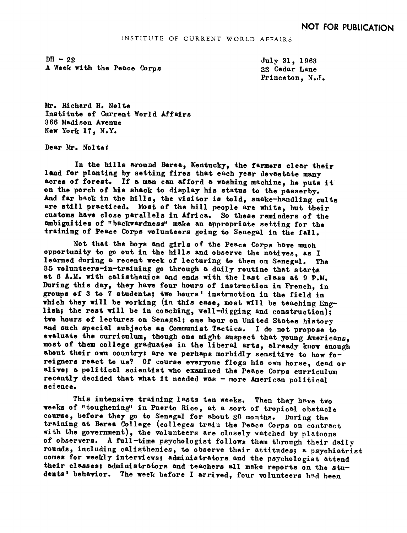$DH - 22$ A Week with the Peace Corps July 31, 1963 22 Cedar Lane Princeton, N.J.

Mr. Richard H. Nolte Institute of Current-World Affairs 366 Madison Avenue New York 17, N.Y.

Dear Mr. Nolte:

In the hills around Berea, Kentucky, the farmers clear their land for planting by setting fires that each year devastate many acres of forest. If a man can afford a washing machine, he puts it on the porch of his shack to display his status to the passerby. And far back in the hills, the visitor is told, snake-handling cults are still practiced. Most of the hill people are white, but their customs have close parallels in Africa. So these reminders of the ambiguities of "backwardness" make an appropriate setting for the training of Peace Corps volunteers going to Senegal in the fall.

Not that the boys and girls of the Peace Corps have much opportunity to go out in the hills and observe the natives, as <sup>I</sup> learned during a recent week of lecturing to them on Senegal. The 35 volunteers-in-training go through a daily routine that starts at 6 A.M. with calisthenics and ends with the last class at 9 P.M. During this day, they have four hours of instruction in French, in groups of 3 to 7 students; two hours' instruction in the field in which they will be working (in this case, most will be teaching English; the rest will be in coaching, well-digging and construction); two hours of lectures on Senegal; one hour on United States history and such special subjects as Communist Tactics. <sup>I</sup> do not propose to evaluate the curriculum, though one might suspect that young Americans, most of them college graduates in the liberal arts, already know enough about their own country: are we perhaps morbidly sensitive to how foreigners react to us? Of course everyone flogs his own horse, dead or alive; a political scientist who examined the Peace Corps curriculum recently decided that what it needed was - more American political science.

This intensive training lasts ten weeks. Then they have two weeks of "toughening" in Puerto Rico, at a sort of tropical obstacle course, before they go to Senegal for about 20 months. During the training at Berea College. (colleges train the Peace Corps on contract with the government), the volunteers are closely watched by platoons of observers. A full-time psychologist follows them through their daily rounds, including calisthenics, to observe their attitudes; a psychiatrist comes for weekly interviews; administrators and the psychologist attend their classes; administrators and teachers all make reports on the students' behavior. The week before I arrived, four volunteers had been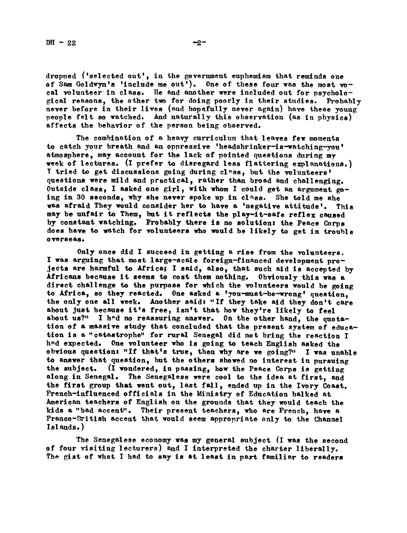dropped ('selected out', in the government euphemism that reminds one of Sam Goldwyn's 'include me out'). One of these four was the most vocal volunteer in class. He and another were included out for psychological reasons, the other two for doing poorly in their studies. Probably never before in their lives (and hopefully never again) have these young people felt so watched. And naturally this observation (as in physics) affects the behavior of the person being observed.

The combination of a heavy curriculum that leaves few moments to catch your breath and an oppressive 'headshrinker-is-watching-you' atmosphere, may account for the lack of pointed questions during m week of lectures. (I prefer to disregard less flattering explanations.) I tried to get discussions going during class, but the volunteers' questions were mild and practical, rather than broad and challenging. Outside class, I asked one girl, with whom I could get an argument going in 30 seconds, why she never spoke up in class. She told me she was afraid They would consider her to have a 'negative attitude'. This may be unfair to Them, but it reflects the play-it-safe reflex caused by constant watching. Probably there is no solutionz the Peace Corps does have to watch for volunteers who would be likely to get in trouble overseas,

Only once did I succeed in getting a rise from the volunteers. <sup>I</sup> was arguing that most large-scale foreign-financed development projects are harmful to Africa; I said, also, that such aid is accepted by Africans because it seems to cost them nothing. Obviously this was a direct challenge to the purpose for which the volunteers would be going to Africa, so they reacted. One asked a 'you-must-be-wrong' question. the only one all week. Another said: "If they take aid they don't care about just because it's free, isn't that how they're likely to feel about us?" I had no reassuring answer. On the other hand, the quotation of a massive study that concluded that the present system of education is a "catastrophe" for rural Senegal did not bring the reaction I h<sup>n</sup>d expected. One volunteer who is going to teach English asked the obvious question: "If that's true, then why are we going?" I was unable to answer that question, but the others showed no interest in pursuing the subject. (I wondered, in passing, how the Peace Corps is getting  $t$  (I wondered, in passing, how the Peace Corps is getting along in Senegal. The Senegalese were cool to the idea at first, and the first group that went out, last fall, ended up in the Ivory Coast. French-influenced officials in the Ministry of Education balked at American teachers of English on the grounds that they would teach the kids a "bad accent". Their present teachers, who are French, have a Franco-British accent that would seem appropriate only to the Channel Isl ands. )

The Senegal ese economy was my general subject (I was the second of four visiting lecturers) and I interpreted the charter liberally. The gist of what I had to say is at least in part familiar to readers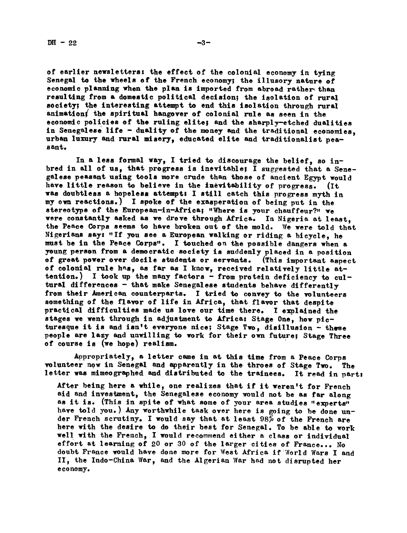of earlier newsletters: the effect of the colonial economy in tying Senegal to the wheels of the French economy; the illusory nature of economic planning when the plan is imported from abroad rather than resulting from a domestic political decision; the isolation of rural society; the interesting attempt to end this isolation through rural animation, the spiritual hangover of colonial rule as seen in the economic policies of the ruling elite; and the sharply-etched dualities in Senegalese life - duality of the money and the traditional economies. urban luxury and rural misery, educated elite and traditionalist pea-

In a less formal way, <sup>I</sup> tried to discourage the belief, so inbred in all of us, that progress is inevitable; I suggested that a Senegalese peasant using tools more crude than those of ancient Egypt would have little reason to believe in the inevitability of progress. (It was doubtless a hopeless attempt: I still catch this progress myth in my own reactions.) I spoke of the exasperation of being put in the stereotype of the European-in-Africa; "Where is your chauffeur?" we were constantly asked as we drove through Africa. In Nigeria at least. the Peace Corps eeems to have broken out of the mold. We were told that Nigeriane eayz "If you see a European walking or riding a bicycle, he must be in the Peace Corps". I touched on the possible dangers when a yung person from & democratic society is suddenly placed in <sup>a</sup> position of great power over docile students or servants. (This important aspect of colonial rule has, as far as I know, received relatively little attention.) I took up the many factors  $-$  from protein deficiency to cultural differences - that make Senegalese students behave differently from their American counterparts. I tried to convey to the volunteers something of the flavor of life in Africa, that flavor that despite practical difficulties made us love our time there. <sup>I</sup> explained the stages we went through in adjustment to Africa: Stage One, how picturesque it is and isn't everyone nice; Stage Two, disillusion - these people are lazy and unwilling to work for their own future; Stage Three of course is (we hope) realism.

Appropriately, a letter came in at this time from a Peace Corps volunteer now in Senegal and apparently in the throes of Stage Two. The letter was mimeographed and distributed to the trainees. It read in part:

After being here a while, one realizes that if it weren't for French aid and investment, the Senegal ese economy would not be as far along as it is. (This in spite of what some of your area studies "experts" have told you.) Any worthwhile task over here is going to be done under French scrutiny. I would say that at least  $98\%$  of the French are here with the desire to do their best for Senegal. To be able to work well with the French, I would recommend either a class or individual effort at learning of 20 or 30 of the larger cities of France... No doubt France would have done more for West Africa if World Wars I and II, the Indo-China War, and the Algerian War had not disrupted her e conomy.